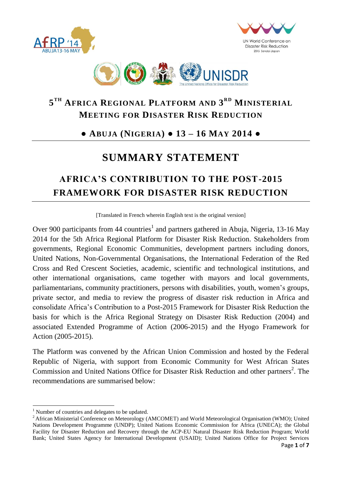





## **5 TH AFRICA REGIONAL PLATFORM AND 3 RD MINISTERIAL MEETING FOR DISASTER RISK REDUCTION**

## **● ABUJA (NIGERIA) ● 13 – 16 MAY 2014 ●**

# **SUMMARY STATEMENT**

# **AFRICA'S CONTRIBUTION TO THE POST-2015 FRAMEWORK FOR DISASTER RISK REDUCTION**

[Translated in French wherein English text is the original version]

Over 900 participants from 44 countries<sup>1</sup> and partners gathered in Abuja, Nigeria, 13-16 May 2014 for the 5th Africa Regional Platform for Disaster Risk Reduction. Stakeholders from governments, Regional Economic Communities, development partners including donors, United Nations, Non-Governmental Organisations, the International Federation of the Red Cross and Red Crescent Societies, academic, scientific and technological institutions, and other international organisations, came together with mayors and local governments, parliamentarians, community practitioners, persons with disabilities, youth, women's groups, private sector, and media to review the progress of disaster risk reduction in Africa and consolidate Africa's Contribution to a Post-2015 Framework for Disaster Risk Reduction the basis for which is the Africa Regional Strategy on Disaster Risk Reduction (2004) and associated Extended Programme of Action (2006-2015) and the Hyogo Framework for Action (2005-2015).

The Platform was convened by the African Union Commission and hosted by the Federal Republic of Nigeria, with support from Economic Community for West African States Commission and United Nations Office for Disaster Risk Reduction and other partners<sup>2</sup>. The recommendations are summarised below:

 $\overline{a}$ 

<sup>&</sup>lt;sup>1</sup> Number of countries and delegates to be updated.

<sup>&</sup>lt;sup>2</sup> African Ministerial Conference on Meteorology (AMCOMET) and World Meteorological Organisation (WMO); United Nations Development Programme (UNDP); United Nations Economic Commission for Africa (UNECA); the Global Facility for Disaster Reduction and Recovery through the ACP-EU Natural Disaster Risk Reduction Program; World Bank; United States Agency for International Development (USAID); United Nations Office for Project Services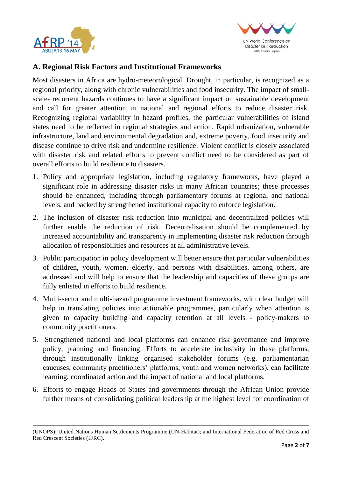

 $\overline{a}$ 



### **A. Regional Risk Factors and Institutional Frameworks**

Most disasters in Africa are hydro-meteorological. Drought, in particular, is recognized as a regional priority, along with chronic vulnerabilities and food insecurity. The impact of smallscale- recurrent hazards continues to have a significant impact on sustainable development and call for greater attention in national and regional efforts to reduce disaster risk. Recognizing regional variability in hazard profiles, the particular vulnerabilities of island states need to be reflected in regional strategies and action. Rapid urbanization, vulnerable infrastructure, land and environmental degradation and, extreme poverty, food insecurity and disease continue to drive risk and undermine resilience. Violent conflict is closely associated with disaster risk and related efforts to prevent conflict need to be considered as part of overall efforts to build resilience to disasters.

- 1. Policy and appropriate legislation, including regulatory frameworks, have played a significant role in addressing disaster risks in many African countries; these processes should be enhanced, including through parliamentary forums at regional and national levels, and backed by strengthened institutional capacity to enforce legislation.
- 2. The inclusion of disaster risk reduction into municipal and decentralized policies will further enable the reduction of risk. Decentralisation should be complemented by increased accountability and transparency in implementing disaster risk reduction through allocation of responsibilities and resources at all administrative levels.
- 3. Public participation in policy development will better ensure that particular vulnerabilities of children, youth, women, elderly, and persons with disabilities, among others, are addressed and will help to ensure that the leadership and capacities of these groups are fully enlisted in efforts to build resilience.
- 4. Multi-sector and multi-hazard programme investment frameworks, with clear budget will help in translating policies into actionable programmes, particularly when attention is given to capacity building and capacity retention at all levels - policy-makers to community practitioners.
- 5. Strengthened national and local platforms can enhance risk governance and improve policy, planning and financing. Efforts to accelerate inclusivity in these platforms, through institutionally linking organised stakeholder forums (e.g. parliamentarian caucuses, community practitioners' platforms, youth and women networks), can facilitate learning, coordinated action and the impact of national and local platforms.
- 6. Efforts to engage Heads of States and governments through the African Union provide further means of consolidating political leadership at the highest level for coordination of

<sup>(</sup>UNOPS); United Nations Human Settlements Programme (UN-Habitat); and International Federation of Red Cross and Red Crescent Societies (IFRC).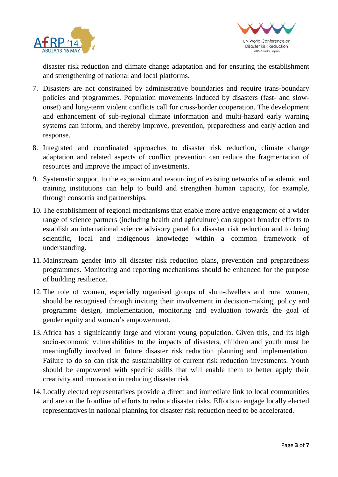



disaster risk reduction and climate change adaptation and for ensuring the establishment and strengthening of national and local platforms.

- 7. Disasters are not constrained by administrative boundaries and require trans-boundary policies and programmes. Population movements induced by disasters (fast- and slowonset) and long-term violent conflicts call for cross-border cooperation. The development and enhancement of sub-regional climate information and multi-hazard early warning systems can inform, and thereby improve, prevention, preparedness and early action and response.
- 8. Integrated and coordinated approaches to disaster risk reduction, climate change adaptation and related aspects of conflict prevention can reduce the fragmentation of resources and improve the impact of investments.
- 9. Systematic support to the expansion and resourcing of existing networks of academic and training institutions can help to build and strengthen human capacity, for example, through consortia and partnerships.
- 10.The establishment of regional mechanisms that enable more active engagement of a wider range of science partners (including health and agriculture) can support broader efforts to establish an international science advisory panel for disaster risk reduction and to bring scientific, local and indigenous knowledge within a common framework of understanding.
- 11.Mainstream gender into all disaster risk reduction plans, prevention and preparedness programmes. Monitoring and reporting mechanisms should be enhanced for the purpose of building resilience.
- 12.The role of women, especially organised groups of slum-dwellers and rural women, should be recognised through inviting their involvement in decision-making, policy and programme design, implementation, monitoring and evaluation towards the goal of gender equity and women's empowerment.
- 13.Africa has a significantly large and vibrant young population. Given this, and its high socio-economic vulnerabilities to the impacts of disasters, children and youth must be meaningfully involved in future disaster risk reduction planning and implementation. Failure to do so can risk the sustainability of current risk reduction investments. Youth should be empowered with specific skills that will enable them to better apply their creativity and innovation in reducing disaster risk.
- 14.Locally elected representatives provide a direct and immediate link to local communities and are on the frontline of efforts to reduce disaster risks. Efforts to engage locally elected representatives in national planning for disaster risk reduction need to be accelerated.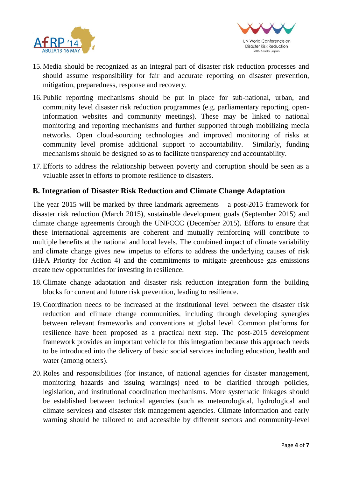



- 15.Media should be recognized as an integral part of disaster risk reduction processes and should assume responsibility for fair and accurate reporting on disaster prevention, mitigation, preparedness, response and recovery.
- 16. Public reporting mechanisms should be put in place for sub-national, urban, and community level disaster risk reduction programmes (e.g. parliamentary reporting, openinformation websites and community meetings). These may be linked to national monitoring and reporting mechanisms and further supported through mobilizing media networks. Open cloud-sourcing technologies and improved monitoring of risks at community level promise additional support to accountability. Similarly, funding mechanisms should be designed so as to facilitate transparency and accountability.
- 17.Efforts to address the relationship between poverty and corruption should be seen as a valuable asset in efforts to promote resilience to disasters.

#### **B. Integration of Disaster Risk Reduction and Climate Change Adaptation**

The year 2015 will be marked by three landmark agreements – a post-2015 framework for disaster risk reduction (March 2015), sustainable development goals (September 2015) and climate change agreements through the UNFCCC (December 2015). Efforts to ensure that these international agreements are coherent and mutually reinforcing will contribute to multiple benefits at the national and local levels. The combined impact of climate variability and climate change gives new impetus to efforts to address the underlying causes of risk (HFA Priority for Action 4) and the commitments to mitigate greenhouse gas emissions create new opportunities for investing in resilience.

- 18.Climate change adaptation and disaster risk reduction integration form the building blocks for current and future risk prevention, leading to resilience.
- 19.Coordination needs to be increased at the institutional level between the disaster risk reduction and climate change communities, including through developing synergies between relevant frameworks and conventions at global level. Common platforms for resilience have been proposed as a practical next step. The post-2015 development framework provides an important vehicle for this integration because this approach needs to be introduced into the delivery of basic social services including education, health and water (among others).
- 20.Roles and responsibilities (for instance, of national agencies for disaster management, monitoring hazards and issuing warnings) need to be clarified through policies, legislation, and institutional coordination mechanisms. More systematic linkages should be established between technical agencies (such as meteorological, hydrological and climate services) and disaster risk management agencies. Climate information and early warning should be tailored to and accessible by different sectors and community-level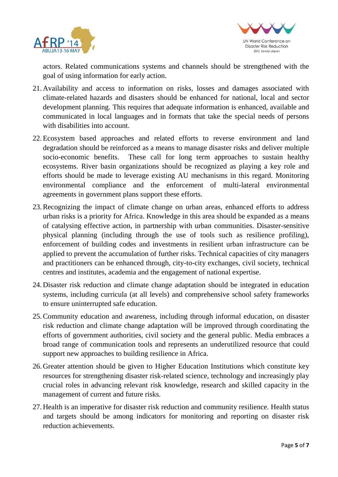



actors. Related communications systems and channels should be strengthened with the goal of using information for early action.

- 21.Availability and access to information on risks, losses and damages associated with climate-related hazards and disasters should be enhanced for national, local and sector development planning. This requires that adequate information is enhanced, available and communicated in local languages and in formats that take the special needs of persons with disabilities into account.
- 22.Ecosystem based approaches and related efforts to reverse environment and land degradation should be reinforced as a means to manage disaster risks and deliver multiple socio-economic benefits. These call for long term approaches to sustain healthy ecosystems. River basin organizations should be recognized as playing a key role and efforts should be made to leverage existing AU mechanisms in this regard. Monitoring environmental compliance and the enforcement of multi-lateral environmental agreements in government plans support these efforts.
- 23.Recognizing the impact of climate change on urban areas, enhanced efforts to address urban risks is a priority for Africa. Knowledge in this area should be expanded as a means of catalysing effective action, in partnership with urban communities. Disaster-sensitive physical planning (including through the use of tools such as resilience profiling), enforcement of building codes and investments in resilient urban infrastructure can be applied to prevent the accumulation of further risks. Technical capacities of city managers and practitioners can be enhanced through, city-to-city exchanges, civil society, technical centres and institutes, academia and the engagement of national expertise.
- 24.Disaster risk reduction and climate change adaptation should be integrated in education systems, including curricula (at all levels) and comprehensive school safety frameworks to ensure uninterrupted safe education.
- 25.Community education and awareness, including through informal education, on disaster risk reduction and climate change adaptation will be improved through coordinating the efforts of government authorities, civil society and the general public. Media embraces a broad range of communication tools and represents an underutilized resource that could support new approaches to building resilience in Africa.
- 26.Greater attention should be given to Higher Education Institutions which constitute key resources for strengthening disaster risk-related science, technology and increasingly play crucial roles in advancing relevant risk knowledge, research and skilled capacity in the management of current and future risks.
- 27.Health is an imperative for disaster risk reduction and community resilience. Health status and targets should be among indicators for monitoring and reporting on disaster risk reduction achievements.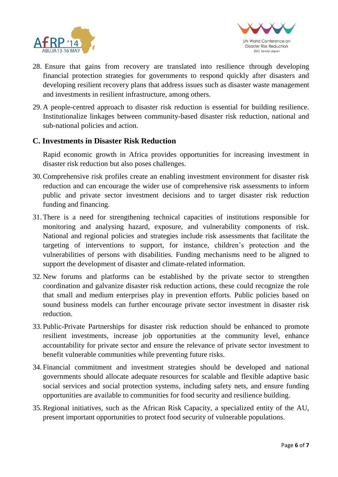



- 28. Ensure that gains from recovery are translated into resilience through developing financial protection strategies for governments to respond quickly after disasters and developing resilient recovery plans that address issues such as disaster waste management and investments in resilient infrastructure, among others.
- 29.A people-centred approach to disaster risk reduction is essential for building resilience. Institutionalize linkages between community-based disaster risk reduction, national and sub-national policies and action.

#### **C. Investments in Disaster Risk Reduction**

Rapid economic growth in Africa provides opportunities for increasing investment in disaster risk reduction but also poses challenges.

- 30.Comprehensive risk profiles create an enabling investment environment for disaster risk reduction and can encourage the wider use of comprehensive risk assessments to inform public and private sector investment decisions and to target disaster risk reduction funding and financing.
- 31.There is a need for strengthening technical capacities of institutions responsible for monitoring and analysing hazard, exposure, and vulnerability components of risk. National and regional policies and strategies include risk assessments that facilitate the targeting of interventions to support, for instance, children's protection and the vulnerabilities of persons with disabilities. Funding mechanisms need to be aligned to support the development of disaster and climate-related information.
- 32.New forums and platforms can be established by the private sector to strengthen coordination and galvanize disaster risk reduction actions, these could recognize the role that small and medium enterprises play in prevention efforts. Public policies based on sound business models can further encourage private sector investment in disaster risk reduction.
- 33. Public-Private Partnerships for disaster risk reduction should be enhanced to promote resilient investments, increase job opportunities at the community level, enhance accountability for private sector and ensure the relevance of private sector investment to benefit vulnerable communities while preventing future risks.
- 34. Financial commitment and investment strategies should be developed and national governments should allocate adequate resources for scalable and flexible adaptive basic social services and social protection systems, including safety nets, and ensure funding opportunities are available to communities for food security and resilience building.
- 35.Regional initiatives, such as the African Risk Capacity, a specialized entity of the AU, present important opportunities to protect food security of vulnerable populations.